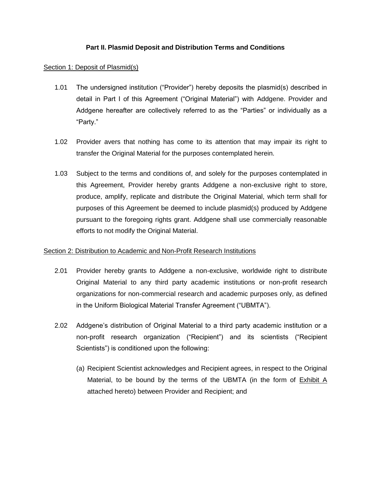## **Part II. Plasmid Deposit and Distribution Terms and Conditions**

## Section 1: Deposit of Plasmid(s)

- 1.01 The undersigned institution ("Provider") hereby deposits the plasmid(s) described in detail in Part I of this Agreement ("Original Material") with Addgene. Provider and Addgene hereafter are collectively referred to as the "Parties" or individually as a "Party."
- 1.02 Provider avers that nothing has come to its attention that may impair its right to transfer the Original Material for the purposes contemplated herein.
- 1.03 Subject to the terms and conditions of, and solely for the purposes contemplated in this Agreement, Provider hereby grants Addgene a non-exclusive right to store, produce, amplify, replicate and distribute the Original Material, which term shall for purposes of this Agreement be deemed to include plasmid(s) produced by Addgene pursuant to the foregoing rights grant. Addgene shall use commercially reasonable efforts to not modify the Original Material.

## Section 2: Distribution to Academic and Non-Profit Research Institutions

- 2.01 Provider hereby grants to Addgene a non-exclusive, worldwide right to distribute Original Material to any third party academic institutions or non-profit research organizations for non-commercial research and academic purposes only, as defined in the Uniform Biological Material Transfer Agreement ("UBMTA").
- 2.02 Addgene's distribution of Original Material to a third party academic institution or a non-profit research organization ("Recipient") and its scientists ("Recipient Scientists") is conditioned upon the following:
	- (a) Recipient Scientist acknowledges and Recipient agrees, in respect to the Original Material, to be bound by the terms of the UBMTA (in the form of  $Exhibit A$ attached hereto) between Provider and Recipient; and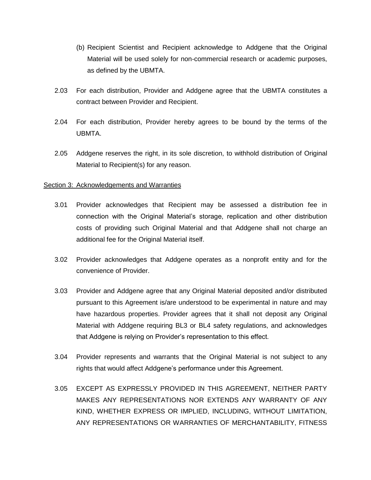- (b) Recipient Scientist and Recipient acknowledge to Addgene that the Original Material will be used solely for non-commercial research or academic purposes, as defined by the UBMTA.
- 2.03 For each distribution, Provider and Addgene agree that the UBMTA constitutes a contract between Provider and Recipient.
- 2.04 For each distribution, Provider hereby agrees to be bound by the terms of the UBMTA.
- 2.05 Addgene reserves the right, in its sole discretion, to withhold distribution of Original Material to Recipient(s) for any reason.

## Section 3: Acknowledgements and Warranties

- 3.01 Provider acknowledges that Recipient may be assessed a distribution fee in connection with the Original Material's storage, replication and other distribution costs of providing such Original Material and that Addgene shall not charge an additional fee for the Original Material itself.
- 3.02 Provider acknowledges that Addgene operates as a nonprofit entity and for the convenience of Provider.
- 3.03 Provider and Addgene agree that any Original Material deposited and/or distributed pursuant to this Agreement is/are understood to be experimental in nature and may have hazardous properties. Provider agrees that it shall not deposit any Original Material with Addgene requiring BL3 or BL4 safety regulations, and acknowledges that Addgene is relying on Provider's representation to this effect.
- 3.04 Provider represents and warrants that the Original Material is not subject to any rights that would affect Addgene's performance under this Agreement.
- 3.05 EXCEPT AS EXPRESSLY PROVIDED IN THIS AGREEMENT, NEITHER PARTY MAKES ANY REPRESENTATIONS NOR EXTENDS ANY WARRANTY OF ANY KIND, WHETHER EXPRESS OR IMPLIED, INCLUDING, WITHOUT LIMITATION, ANY REPRESENTATIONS OR WARRANTIES OF MERCHANTABILITY, FITNESS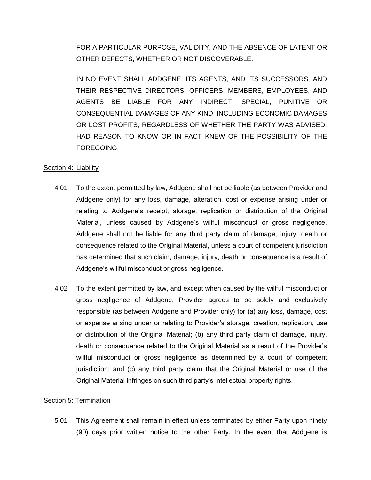FOR A PARTICULAR PURPOSE, VALIDITY, AND THE ABSENCE OF LATENT OR OTHER DEFECTS, WHETHER OR NOT DISCOVERABLE.

IN NO EVENT SHALL ADDGENE, ITS AGENTS, AND ITS SUCCESSORS, AND THEIR RESPECTIVE DIRECTORS, OFFICERS, MEMBERS, EMPLOYEES, AND AGENTS BE LIABLE FOR ANY INDIRECT, SPECIAL, PUNITIVE OR CONSEQUENTIAL DAMAGES OF ANY KIND, INCLUDING ECONOMIC DAMAGES OR LOST PROFITS, REGARDLESS OF WHETHER THE PARTY WAS ADVISED, HAD REASON TO KNOW OR IN FACT KNEW OF THE POSSIBILITY OF THE FOREGOING.

## Section 4: Liability

- 4.01 To the extent permitted by law, Addgene shall not be liable (as between Provider and Addgene only) for any loss, damage, alteration, cost or expense arising under or relating to Addgene's receipt, storage, replication or distribution of the Original Material, unless caused by Addgene's willful misconduct or gross negligence. Addgene shall not be liable for any third party claim of damage, injury, death or consequence related to the Original Material, unless a court of competent jurisdiction has determined that such claim, damage, injury, death or consequence is a result of Addgene's willful misconduct or gross negligence.
- 4.02 To the extent permitted by law, and except when caused by the willful misconduct or gross negligence of Addgene, Provider agrees to be solely and exclusively responsible (as between Addgene and Provider only) for (a) any loss, damage, cost or expense arising under or relating to Provider's storage, creation, replication, use or distribution of the Original Material; (b) any third party claim of damage, injury, death or consequence related to the Original Material as a result of the Provider's willful misconduct or gross negligence as determined by a court of competent jurisdiction; and (c) any third party claim that the Original Material or use of the Original Material infringes on such third party's intellectual property rights.

#### Section 5: Termination

5.01 This Agreement shall remain in effect unless terminated by either Party upon ninety (90) days prior written notice to the other Party. In the event that Addgene is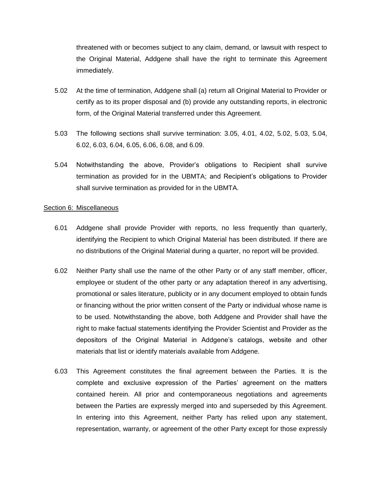threatened with or becomes subject to any claim, demand, or lawsuit with respect to the Original Material, Addgene shall have the right to terminate this Agreement immediately.

- 5.02 At the time of termination, Addgene shall (a) return all Original Material to Provider or certify as to its proper disposal and (b) provide any outstanding reports, in electronic form, of the Original Material transferred under this Agreement.
- 5.03 The following sections shall survive termination: 3.05, 4.01, 4.02, 5.02, 5.03, 5.04, 6.02, 6.03, 6.04, 6.05, 6.06, 6.08, and 6.09.
- 5.04 Notwithstanding the above, Provider's obligations to Recipient shall survive termination as provided for in the UBMTA; and Recipient's obligations to Provider shall survive termination as provided for in the UBMTA.

#### Section 6: Miscellaneous

- 6.01 Addgene shall provide Provider with reports, no less frequently than quarterly, identifying the Recipient to which Original Material has been distributed. If there are no distributions of the Original Material during a quarter, no report will be provided.
- 6.02 Neither Party shall use the name of the other Party or of any staff member, officer, employee or student of the other party or any adaptation thereof in any advertising, promotional or sales literature, publicity or in any document employed to obtain funds or financing without the prior written consent of the Party or individual whose name is to be used. Notwithstanding the above, both Addgene and Provider shall have the right to make factual statements identifying the Provider Scientist and Provider as the depositors of the Original Material in Addgene's catalogs, website and other materials that list or identify materials available from Addgene.
- 6.03 This Agreement constitutes the final agreement between the Parties. It is the complete and exclusive expression of the Parties' agreement on the matters contained herein. All prior and contemporaneous negotiations and agreements between the Parties are expressly merged into and superseded by this Agreement. In entering into this Agreement, neither Party has relied upon any statement, representation, warranty, or agreement of the other Party except for those expressly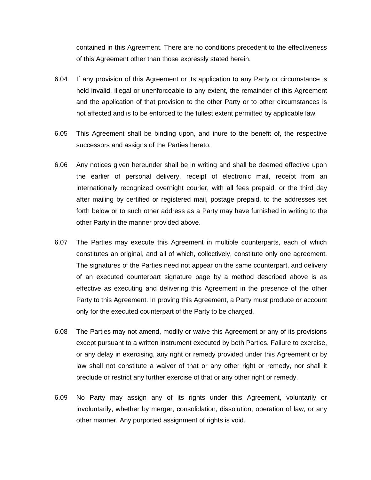contained in this Agreement. There are no conditions precedent to the effectiveness of this Agreement other than those expressly stated herein.

- 6.04 If any provision of this Agreement or its application to any Party or circumstance is held invalid, illegal or unenforceable to any extent, the remainder of this Agreement and the application of that provision to the other Party or to other circumstances is not affected and is to be enforced to the fullest extent permitted by applicable law.
- 6.05 This Agreement shall be binding upon, and inure to the benefit of, the respective successors and assigns of the Parties hereto.
- 6.06 Any notices given hereunder shall be in writing and shall be deemed effective upon the earlier of personal delivery, receipt of electronic mail, receipt from an internationally recognized overnight courier, with all fees prepaid, or the third day after mailing by certified or registered mail, postage prepaid, to the addresses set forth below or to such other address as a Party may have furnished in writing to the other Party in the manner provided above.
- 6.07 The Parties may execute this Agreement in multiple counterparts, each of which constitutes an original, and all of which, collectively, constitute only one agreement. The signatures of the Parties need not appear on the same counterpart, and delivery of an executed counterpart signature page by a method described above is as effective as executing and delivering this Agreement in the presence of the other Party to this Agreement. In proving this Agreement, a Party must produce or account only for the executed counterpart of the Party to be charged.
- 6.08 The Parties may not amend, modify or waive this Agreement or any of its provisions except pursuant to a written instrument executed by both Parties. Failure to exercise, or any delay in exercising, any right or remedy provided under this Agreement or by law shall not constitute a waiver of that or any other right or remedy, nor shall it preclude or restrict any further exercise of that or any other right or remedy.
- 6.09 No Party may assign any of its rights under this Agreement, voluntarily or involuntarily, whether by merger, consolidation, dissolution, operation of law, or any other manner. Any purported assignment of rights is void.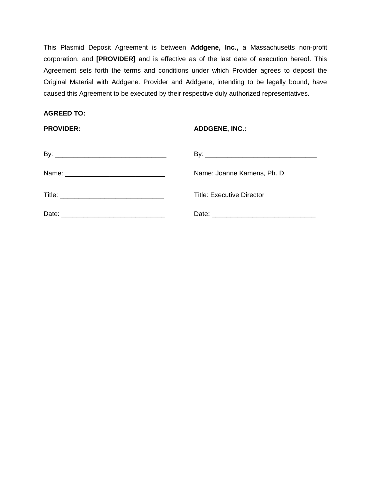This Plasmid Deposit Agreement is between **Addgene, Inc.,** a Massachusetts non-profit corporation, and **[PROVIDER]** and is effective as of the last date of execution hereof. This Agreement sets forth the terms and conditions under which Provider agrees to deposit the Original Material with Addgene. Provider and Addgene, intending to be legally bound, have caused this Agreement to be executed by their respective duly authorized representatives.

# **AGREED TO:**

| <b>PROVIDER:</b> | <b>ADDGENE, INC.:</b>            |
|------------------|----------------------------------|
|                  |                                  |
|                  | Name: Joanne Kamens, Ph. D.      |
|                  | <b>Title: Executive Director</b> |
|                  |                                  |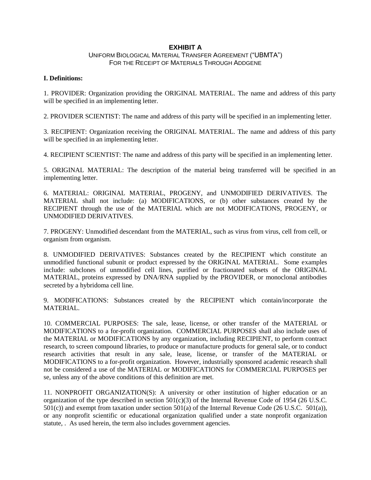## **EXHIBIT A**

## UNIFORM BIOLOGICAL MATERIAL TRANSFER AGREEMENT ("UBMTA") FOR THE RECEIPT OF MATERIALS THROUGH ADDGENE

#### **I. Definitions:**

1. PROVIDER: Organization providing the ORIGINAL MATERIAL. The name and address of this party will be specified in an implementing letter.

2. PROVIDER SCIENTIST: The name and address of this party will be specified in an implementing letter.

3. RECIPIENT: Organization receiving the ORIGINAL MATERIAL. The name and address of this party will be specified in an implementing letter.

4. RECIPIENT SCIENTIST: The name and address of this party will be specified in an implementing letter.

5. ORIGINAL MATERIAL: The description of the material being transferred will be specified in an implementing letter.

6. MATERIAL: ORIGINAL MATERIAL, PROGENY, and UNMODIFIED DERIVATIVES. The MATERIAL shall not include: (a) MODIFICATIONS, or (b) other substances created by the RECIPIENT through the use of the MATERIAL which are not MODIFICATIONS, PROGENY, or UNMODIFIED DERIVATIVES.

7. PROGENY: Unmodified descendant from the MATERIAL, such as virus from virus, cell from cell, or organism from organism.

8. UNMODIFIED DERIVATIVES: Substances created by the RECIPIENT which constitute an unmodified functional subunit or product expressed by the ORIGINAL MATERIAL. Some examples include: subclones of unmodified cell lines, purified or fractionated subsets of the ORIGINAL MATERIAL, proteins expressed by DNA/RNA supplied by the PROVIDER, or monoclonal antibodies secreted by a hybridoma cell line.

9. MODIFICATIONS: Substances created by the RECIPIENT which contain/incorporate the MATERIAL.

10. COMMERCIAL PURPOSES: The sale, lease, license, or other transfer of the MATERIAL or MODIFICATIONS to a for-profit organization. COMMERCIAL PURPOSES shall also include uses of the MATERIAL or MODIFICATIONS by any organization, including RECIPIENT, to perform contract research, to screen compound libraries, to produce or manufacture products for general sale, or to conduct research activities that result in any sale, lease, license, or transfer of the MATERIAL or MODIFICATIONS to a for-profit organization. However, industrially sponsored academic research shall not be considered a use of the MATERIAL or MODIFICATIONS for COMMERCIAL PURPOSES per se, unless any of the above conditions of this definition are met.

11. NONPROFIT ORGANIZATION(S): A university or other institution of higher education or an organization of the type described in section 501(c)(3) of the Internal Revenue Code of 1954 (26 U.S.C. 501(c)) and exempt from taxation under section 501(a) of the Internal Revenue Code (26 U.S.C. 501(a)), or any nonprofit scientific or educational organization qualified under a state nonprofit organization statute, . As used herein, the term also includes government agencies.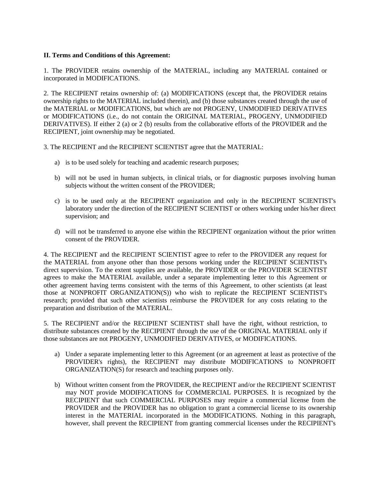## **II. Terms and Conditions of this Agreement:**

1. The PROVIDER retains ownership of the MATERIAL, including any MATERIAL contained or incorporated in MODIFICATIONS.

2. The RECIPIENT retains ownership of: (a) MODIFICATIONS (except that, the PROVIDER retains ownership rights to the MATERIAL included therein), and (b) those substances created through the use of the MATERIAL or MODIFICATIONS, but which are not PROGENY, UNMODIFIED DERIVATIVES or MODIFICATIONS (i.e., do not contain the ORIGINAL MATERIAL, PROGENY, UNMODIFIED DERIVATIVES). If either 2 (a) or 2 (b) results from the collaborative efforts of the PROVIDER and the RECIPIENT, joint ownership may be negotiated.

3. The RECIPIENT and the RECIPIENT SCIENTIST agree that the MATERIAL:

- a) is to be used solely for teaching and academic research purposes;
- b) will not be used in human subjects, in clinical trials, or for diagnostic purposes involving human subjects without the written consent of the PROVIDER;
- c) is to be used only at the RECIPIENT organization and only in the RECIPIENT SCIENTIST's laboratory under the direction of the RECIPIENT SCIENTIST or others working under his/her direct supervision; and
- d) will not be transferred to anyone else within the RECIPIENT organization without the prior written consent of the PROVIDER.

4. The RECIPIENT and the RECIPIENT SCIENTIST agree to refer to the PROVIDER any request for the MATERIAL from anyone other than those persons working under the RECIPIENT SCIENTIST's direct supervision. To the extent supplies are available, the PROVIDER or the PROVIDER SCIENTIST agrees to make the MATERIAL available, under a separate implementing letter to this Agreement or other agreement having terms consistent with the terms of this Agreement, to other scientists (at least those at NONPROFIT ORGANIZATION(S)) who wish to replicate the RECIPIENT SCIENTIST's research; provided that such other scientists reimburse the PROVIDER for any costs relating to the preparation and distribution of the MATERIAL.

5. The RECIPIENT and/or the RECIPIENT SCIENTIST shall have the right, without restriction, to distribute substances created by the RECIPIENT through the use of the ORIGINAL MATERIAL only if those substances are not PROGENY, UNMODIFIED DERIVATIVES, or MODIFICATIONS.

- a) Under a separate implementing letter to this Agreement (or an agreement at least as protective of the PROVIDER's rights), the RECIPIENT may distribute MODIFICATIONS to NONPROFIT ORGANIZATION(S) for research and teaching purposes only.
- b) Without written consent from the PROVIDER, the RECIPIENT and/or the RECIPIENT SCIENTIST may NOT provide MODIFICATIONS for COMMERCIAL PURPOSES. It is recognized by the RECIPIENT that such COMMERCIAL PURPOSES may require a commercial license from the PROVIDER and the PROVIDER has no obligation to grant a commercial license to its ownership interest in the MATERIAL incorporated in the MODIFICATIONS. Nothing in this paragraph, however, shall prevent the RECIPIENT from granting commercial licenses under the RECIPIENT's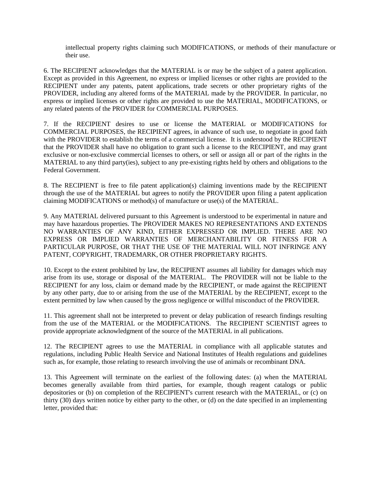intellectual property rights claiming such MODIFICATIONS, or methods of their manufacture or their use.

6. The RECIPIENT acknowledges that the MATERIAL is or may be the subject of a patent application. Except as provided in this Agreement, no express or implied licenses or other rights are provided to the RECIPIENT under any patents, patent applications, trade secrets or other proprietary rights of the PROVIDER, including any altered forms of the MATERIAL made by the PROVIDER. In particular, no express or implied licenses or other rights are provided to use the MATERIAL, MODIFICATIONS, or any related patents of the PROVIDER for COMMERCIAL PURPOSES.

7. If the RECIPIENT desires to use or license the MATERIAL or MODIFICATIONS for COMMERCIAL PURPOSES, the RECIPIENT agrees, in advance of such use, to negotiate in good faith with the PROVIDER to establish the terms of a commercial license. It is understood by the RECIPIENT that the PROVIDER shall have no obligation to grant such a license to the RECIPIENT, and may grant exclusive or non-exclusive commercial licenses to others, or sell or assign all or part of the rights in the MATERIAL to any third party(ies), subject to any pre-existing rights held by others and obligations to the Federal Government.

8. The RECIPIENT is free to file patent application(s) claiming inventions made by the RECIPIENT through the use of the MATERIAL but agrees to notify the PROVIDER upon filing a patent application claiming MODIFICATIONS or method(s) of manufacture or use(s) of the MATERIAL.

9. Any MATERIAL delivered pursuant to this Agreement is understood to be experimental in nature and may have hazardous properties. The PROVIDER MAKES NO REPRESENTATIONS AND EXTENDS NO WARRANTIES OF ANY KIND, EITHER EXPRESSED OR IMPLIED. THERE ARE NO EXPRESS OR IMPLIED WARRANTIES OF MERCHANTABILITY OR FITNESS FOR A PARTICULAR PURPOSE, OR THAT THE USE OF THE MATERIAL WILL NOT INFRINGE ANY PATENT, COPYRIGHT, TRADEMARK, OR OTHER PROPRIETARY RIGHTS.

10. Except to the extent prohibited by law, the RECIPIENT assumes all liability for damages which may arise from its use, storage or disposal of the MATERIAL. The PROVIDER will not be liable to the RECIPIENT for any loss, claim or demand made by the RECIPIENT, or made against the RECIPIENT by any other party, due to or arising from the use of the MATERIAL by the RECIPIENT, except to the extent permitted by law when caused by the gross negligence or willful misconduct of the PROVIDER.

11. This agreement shall not be interpreted to prevent or delay publication of research findings resulting from the use of the MATERIAL or the MODIFICATIONS. The RECIPIENT SCIENTIST agrees to provide appropriate acknowledgment of the source of the MATERIAL in all publications.

12. The RECIPIENT agrees to use the MATERIAL in compliance with all applicable statutes and regulations, including Public Health Service and National Institutes of Health regulations and guidelines such as, for example, those relating to research involving the use of animals or recombinant DNA.

13. This Agreement will terminate on the earliest of the following dates: (a) when the MATERIAL becomes generally available from third parties, for example, though reagent catalogs or public depositories or (b) on completion of the RECIPIENT's current research with the MATERIAL, or (c) on thirty (30) days written notice by either party to the other, or (d) on the date specified in an implementing letter, provided that: